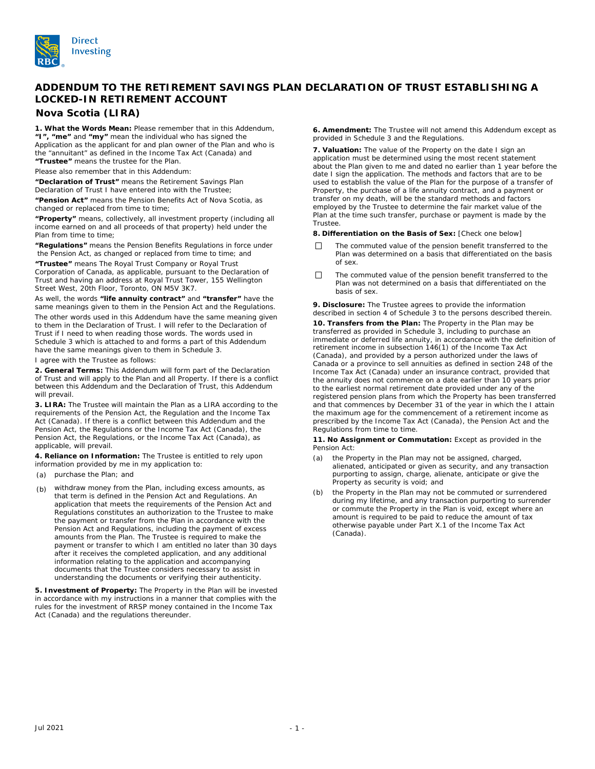

# **ADDENDUM TO THE RETIREMENT SAVINGS PLAN DECLARATION OF TRUST ESTABLISHING A LOCKED-IN RETIREMENT ACCOUNT**

## **Nova Scotia (LIRA)**

**1. What the Words Mean:** Please remember that in this Addendum, **"I", "me"** and **"my"** mean the individual who has signed the Application as the applicant for and plan owner of the Plan and who is the "annuitant" as defined in the *Income Tax Act* (Canada) and **"Trustee"** means the trustee for the Plan.

Please also remember that in this Addendum:

**"Declaration of Trust"** means the Retirement Savings Plan Declaration of Trust I have entered into with the Trustee;

**"Pension Act"** means the *Pension Benefits Act* of Nova Scotia, as changed or replaced from time to time;

**"Property"** means, collectively, all investment property (including all income earned on and all proceeds of that property) held under the Plan from time to time;

**"Regulations"** means the *Pension Benefits Regulations* in force under the Pension Act, as changed or replaced from time to time; and

**"Trustee"** means The Royal Trust Company or Royal Trust Corporation of Canada, as applicable, pursuant to the Declaration of Trust and having an address at Royal Trust Tower, 155 Wellington Street West, 20th Floor, Toronto, ON M5V 3K7.

As well, the words **"life annuity contract"** and **"transfer"** have the same meanings given to them in the Pension Act and the Regulations. The other words used in this Addendum have the same meaning given to them in the Declaration of Trust. I will refer to the Declaration of Trust if I need to when reading those words. The words used in Schedule 3 which is attached to and forms a part of this Addendum have the same meanings given to them in Schedule 3.

I agree with the Trustee as follows:

**2. General Terms:** This Addendum will form part of the Declaration of Trust and will apply to the Plan and all Property. If there is a conflict between this Addendum and the Declaration of Trust, this Addendum will prevail.

**3. LIRA:** The Trustee will maintain the Plan as a LIRA according to the requirements of the Pension Act, the Regulation and the *Income Tax Act* (Canada). If there is a conflict between this Addendum and the Pension Act, the Regulations or the *Income Tax Act* (Canada), the Pension Act, the Regulations, or the *Income Tax Act* (Canada), as applicable, will prevail.

**4. Reliance on Information:** The Trustee is entitled to rely upon information provided by me in my application to:

- (a) purchase the Plan; and
- (b) withdraw money from the Plan, including excess amounts, as that term is defined in the Pension Act and Regulations. An application that meets the requirements of the Pension Act and Regulations constitutes an authorization to the Trustee to make the payment or transfer from the Plan in accordance with the Pension Act and Regulations, including the payment of excess amounts from the Plan. The Trustee is required to make the payment or transfer to which I am entitled no later than 30 days after it receives the completed application, and any additional information relating to the application and accompanying documents that the Trustee considers necessary to assist in understanding the documents or verifying their authenticity.

**5. Investment of Property:** The Property in the Plan will be invested in accordance with my instructions in a manner that complies with the rules for the investment of RRSP money contained in the *Income Tax*  Act (Canada) and the regulations thereunder.

**6. Amendment:** The Trustee will not amend this Addendum except as provided in Schedule 3 and the Regulations.

**7. Valuation:** The value of the Property on the date I sign an application must be determined using the most recent statement about the Plan given to me and dated no earlier than 1 year before the date I sign the application. The methods and factors that are to be used to establish the value of the Plan for the purpose of a transfer of Property, the purchase of a life annuity contract, and a payment or transfer on my death, will be the standard methods and factors employed by the Trustee to determine the fair market value of the Plan at the time such transfer, purchase or payment is made by the Trustee.

**8. Differentiation on the Basis of Sex:** [Check one below]

- П The commuted value of the pension benefit transferred to the Plan was determined on a basis that differentiated on the basis of sex.
- $\Box$ The commuted value of the pension benefit transferred to the Plan was not determined on a basis that differentiated on the basis of sex.

**9. Disclosure:** The Trustee agrees to provide the information described in section 4 of Schedule 3 to the persons described therein. **10. Transfers from the Plan:** The Property in the Plan may be transferred as provided in Schedule 3, including to purchase an immediate or deferred life annuity, in accordance with the definition of retirement income in subsection 146(1) of the *Income Tax Act* (Canada), and provided by a person authorized under the laws of Canada or a province to sell annuities as defined in section 248 of the *Income Tax Act* (Canada) under an insurance contract, provided that the annuity does not commence on a date earlier than 10 years prior to the earliest normal retirement date provided under any of the registered pension plans from which the Property has been transferred and that commences by December 31 of the year in which the I attain the maximum age for the commencement of a retirement income as prescribed by the *Income Tax Act* (Canada), the Pension Act and the Regulations from time to time.

### **11. No Assignment or Commutation:** Except as provided in the Pension Act:

- (a) the Property in the Plan may not be assigned, charged, alienated, anticipated or given as security, and any transaction purporting to assign, charge, alienate, anticipate or give the Property as security is void; and
- (b) the Property in the Plan may not be commuted or surrendered during my lifetime, and any transaction purporting to surrender or commute the Property in the Plan is void, except where an amount is required to be paid to reduce the amount of tax otherwise payable under Part X.1 of the *Income Tax Act* (Canada).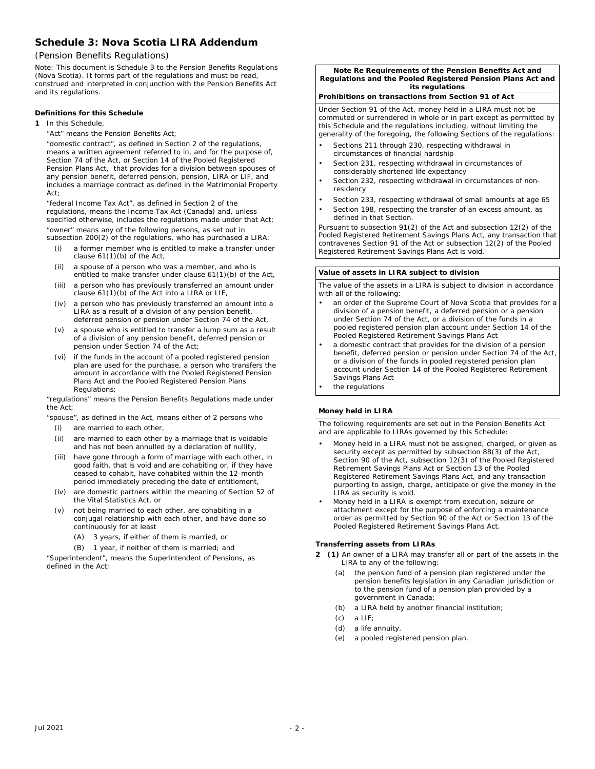## **Schedule 3: Nova Scotia LIRA Addendum**

## *(Pension Benefits Regulations)*

Note: This document is Schedule 3 to the *Pension Benefits Regulations*  (Nova Scotia). It forms part of the regulations and must be read, construed and interpreted in conjunction with the Pension Benefits Act and its regulations.

## **Definitions for this Schedule**

- **1** In this Schedule,
	- "Act" means the *Pension Benefits Act;*

"domestic contract", as defined in Section 2 of the regulations, means a written agreement referred to in, and for the purpose of, Section 74 of the Act, or Section 14 of the *Pooled Registered Pension Plans Act*, that provides for a division between spouses of any pension benefit, deferred pension, pension, LIRA or LIF, and includes a marriage contract as defined in the *Matrimonial Property Act;*

"federal Income Tax Act", as defined in Section 2 of the regulations, means the *Income Tax Act* (Canada) and, unless specified otherwise, includes the regulations made under that Act; "owner" means any of the following persons, as set out in subsection 200(2) of the regulations, who has purchased a LIRA:

- (i) a former member who is entitled to make a transfer under clause 61(1)(b) of the Act,
- (ii) a spouse of a person who was a member, and who is entitled to make transfer under clause 61(1)(b) of the Act,
- (iii) a person who has previously transferred an amount under clause 61(1)(b) of the Act into a LIRA or LIF,
- (iv) a person who has previously transferred an amount into a LIRA as a result of a division of any pension benefit, deferred pension or pension under Section 74 of the Act,
- (v) a spouse who is entitled to transfer a lump sum as a result of a division of any pension benefit, deferred pension or pension under Section 74 of the Act;
- (vi) if the funds in the account of a pooled registered pension plan are used for the purchase, a person who transfers the amount in accordance with the *Pooled Registered Pension Plans Act* and the *Pooled Registered Pension Plans Regulations*;

"regulations" means the *Pension Benefits Regulations* made under the Act;

- "spouse", as defined in the Act, means either of 2 persons who (i) are married to each other,
	- (ii) are married to each other by a marriage that is voidable
	- and has not been annulled by a declaration of nullity,
	- (iii) have gone through a form of marriage with each other, in good faith, that is void and are cohabiting or, if they have ceased to cohabit, have cohabited within the 12-month period immediately preceding the date of entitlement,
	- (iv) are domestic partners within the meaning of Section 52 of the *Vital Statistics Act*, or
	- (v) not being married to each other, are cohabiting in a conjugal relationship with each other, and have done so continuously for at least
		- (A) 3 years, if either of them is married, or
		- (B) 1 year, if neither of them is married; and

"Superintendent", means the Superintendent of Pensions, as defined in the Act;

**Note Re Requirements of the** *Pension Benefits Act* **and**  *Regulations* **and the** *Pooled Registered Pension Plans* **Act and its regulations**

## **Prohibitions on transactions from Section 91 of Act**

Under Section 91 of the Act, money held in a LIRA must not be commuted or surrendered in whole or in part except as permitted by this Schedule and the regulations including, without limiting the generality of the foregoing, the following Sections of the regulations:

- Sections 211 through 230, respecting withdrawal in circumstances of financial hardship
- Section 231, respecting withdrawal in circumstances of considerably shortened life expectancy
- Section 232, respecting withdrawal in circumstances of nonresidency
- Section 233, respecting withdrawal of small amounts at age 65
- Section 198, respecting the transfer of an excess amount, as defined in that Section.

Pursuant to subsection 91(2) of the Act and subsection 12(2) of the *Pooled Registered Retirement Savings Plans Act*, any transaction that contravenes Section 91 of the Act or subsection 12(2) of the *Pooled Registered Retirement Savings Plans Act* is void.

### **Value of assets in LIRA subject to division**

The value of the assets in a LIRA is subject to division in accordance with all of the following:

- an order of the Supreme Court of Nova Scotia that provides for a division of a pension benefit, a deferred pension or a pension under Section 74 of the Act, or a division of the funds in a pooled registered pension plan account under Section 14 of the *Pooled Registered Retirement Savings Plans Act*
- a domestic contract that provides for the division of a pension benefit, deferred pension or pension under Section 74 of the Act, or a division of the funds in pooled registered pension plan account under Section 14 of the *Pooled Registered Retirement Savings Plans Act* the regulations

## **Money held in LIRA**

The following requirements are set out in the *Pension Benefits Act* and are applicable to LIRAs governed by this Schedule:

- Money held in a LIRA must not be assigned, charged, or given as security except as permitted by subsection 88(3) of the Act, Section 90 of the Act, subsection 12(3) of the *Pooled Registered Retirement Savings Plans Act* or Section 13 of the *Pooled Registered Retirement Savings Plans Act*, and any transaction purporting to assign, charge, anticipate or give the money in the LIRA as security is void.
- Money held in a LIRA is exempt from execution, seizure or attachment except for the purpose of enforcing a maintenance order as permitted by Section 90 of the Act or Section 13 of the *Pooled Registered Retirement Savings Plans Act*.

## **Transferring assets from LIRAs**

- **2 (1)** An owner of a LIRA may transfer all or part of the assets in the LIRA to any of the following:
	- (a) the pension fund of a pension plan registered under the pension benefits legislation in any Canadian jurisdiction or to the pension fund of a pension plan provided by a government in Canada;
	- (b) a LIRA held by another financial institution;
	- $(c)$  a LIF
	- (d) a life annuity.
	- (e) a pooled registered pension plan.